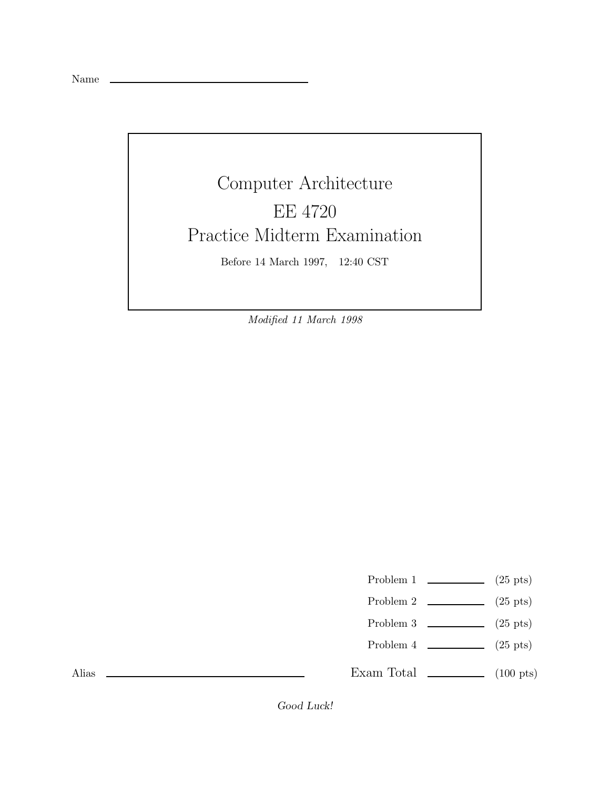Name

## Computer Architecture EE 4720 Practice Midterm Examination Before 14 March 1997, 12:40 CST

Modified 11 March 1998

Problem 1  $\qquad \qquad$  (25 pts)

- Problem 2  $\qquad \qquad$  (25 pts)
- Problem 3  $\qquad \qquad$  (25 pts)
- Problem 4  $\qquad \qquad (25 \text{ pts})$

Exam Total  $\qquad \qquad$  (100 pts)

Alias

*Good Luck!*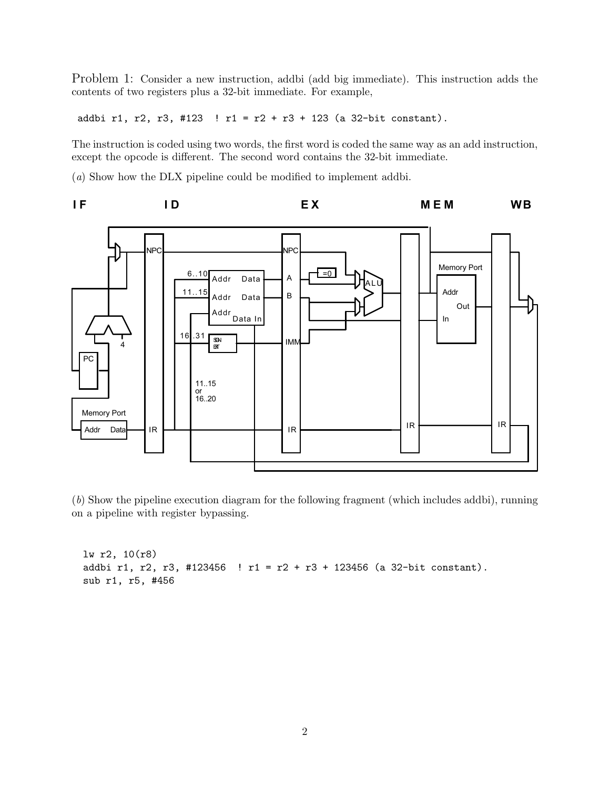Problem 1: Consider a new instruction, addbi (add big immediate). This instruction adds the contents of two registers plus a 32-bit immediate. For example,

addbi r1, r2, r3, #123 ! r1 = r2 + r3 + 123 (a 32-bit constant).

The instruction is coded using two words, the first word is coded the same way as an add instruction, except the opcode is different. The second word contains the 32-bit immediate.

(a) Show how the DLX pipeline could be modified to implement addbi.



(b) Show the pipeline execution diagram for the following fragment (which includes addbi), running on a pipeline with register bypassing.

lw r2, 10(r8) addbi r1, r2, r3, #123456 ! r1 = r2 + r3 + 123456 (a 32-bit constant). sub r1, r5, #456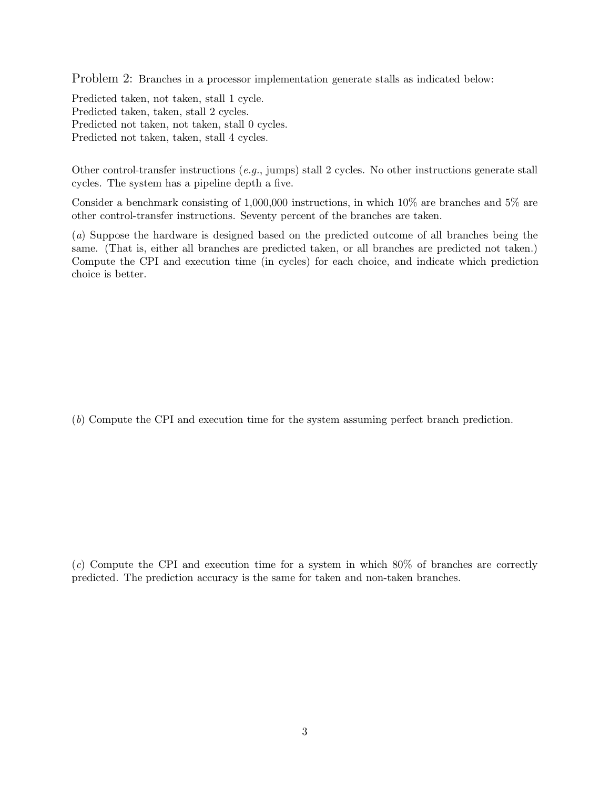Problem 2: Branches in a processor implementation generate stalls as indicated below:

Predicted taken, not taken, stall 1 cycle. Predicted taken, taken, stall 2 cycles. Predicted not taken, not taken, stall 0 cycles. Predicted not taken, taken, stall 4 cycles.

Other control-transfer instructions (e.g., jumps) stall 2 cycles. No other instructions generate stall cycles. The system has a pipeline depth a five.

Consider a benchmark consisting of 1,000,000 instructions, in which 10% are branches and 5% are other control-transfer instructions. Seventy percent of the branches are taken.

(a) Suppose the hardware is designed based on the predicted outcome of all branches being the same. (That is, either all branches are predicted taken, or all branches are predicted not taken.) Compute the CPI and execution time (in cycles) for each choice, and indicate which prediction choice is better.

(b) Compute the CPI and execution time for the system assuming perfect branch prediction.

(c) Compute the CPI and execution time for a system in which 80% of branches are correctly predicted. The prediction accuracy is the same for taken and non-taken branches.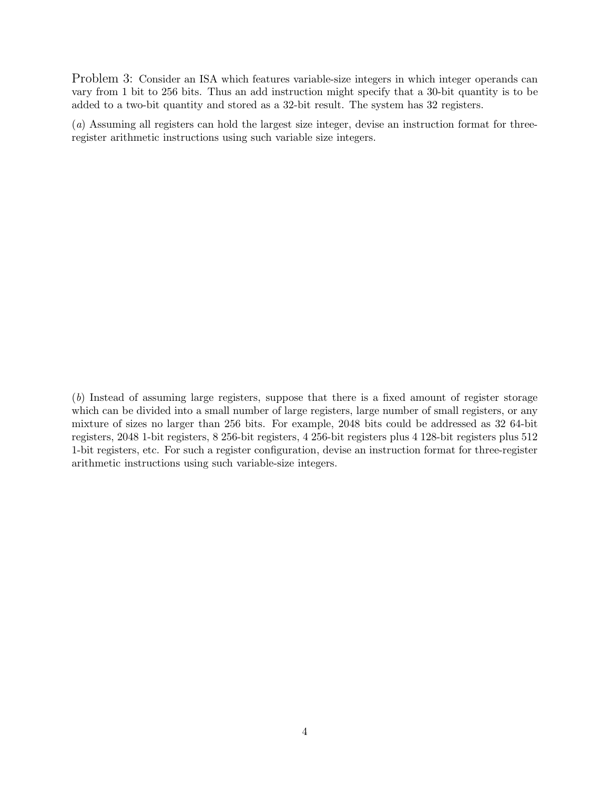Problem 3: Consider an ISA which features variable-size integers in which integer operands can vary from 1 bit to 256 bits. Thus an add instruction might specify that a 30-bit quantity is to be added to a two-bit quantity and stored as a 32-bit result. The system has 32 registers.

(a) Assuming all registers can hold the largest size integer, devise an instruction format for threeregister arithmetic instructions using such variable size integers.

(b) Instead of assuming large registers, suppose that there is a fixed amount of register storage which can be divided into a small number of large registers, large number of small registers, or any mixture of sizes no larger than 256 bits. For example, 2048 bits could be addressed as 32 64-bit registers, 2048 1-bit registers, 8 256-bit registers, 4 256-bit registers plus 4 128-bit registers plus 512 1-bit registers, etc. For such a register configuration, devise an instruction format for three-register arithmetic instructions using such variable-size integers.